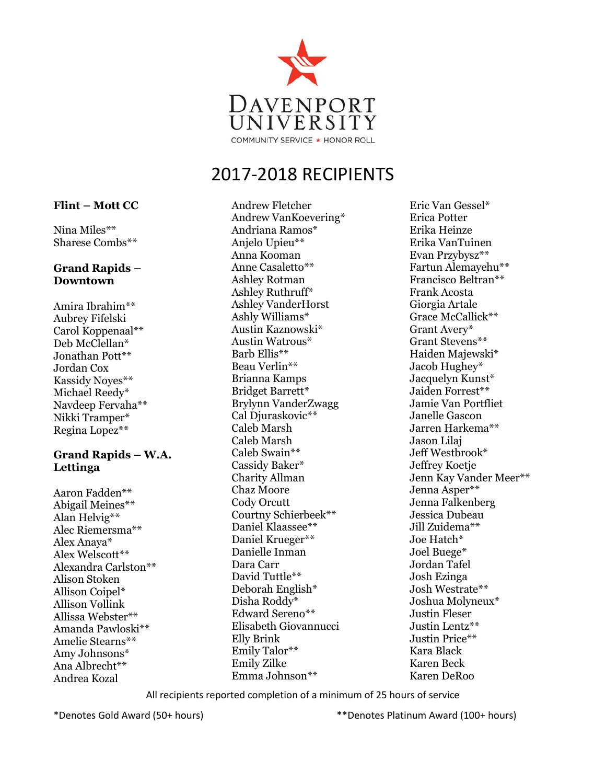

Andrew Fletcher Andrew VanKoevering\* Andriana Ramos\* Anjelo Upieu\*\* Anna Kooman Anne Casaletto\*\* Ashley Rotman Ashley Ruthruff\* Ashley VanderHorst Ashly Williams\* Austin Kaznowski\* Austin Watrous\* Barb Ellis\*\* Beau Verlin\*\* Brianna Kamps Bridget Barrett\* Brylynn VanderZwagg Cal Djuraskovic\*\* Caleb Marsh Caleb Marsh Caleb Swain\*\* Cassidy Baker\* Charity Allman Chaz Moore Cody Orcutt Courtny Schierbeek\*\* Daniel Klaassee\*\* Daniel Krueger\*\* Danielle Inman Dara Carr David Tuttle\*\* Deborah English\* Disha Roddy\* Edward Sereno\*\* Elisabeth Giovannucci Elly Brink Emily Talor\*\* Emily Zilke Emma Johnson\*\*

Eric Van Gessel\* Erica Potter Erika Heinze Erika VanTuinen Evan Przybysz\*\* Fartun Alemayehu\*\* Francisco Beltran\*\* Frank Acosta Giorgia Artale Grace McCallick\*\* Grant Avery\* Grant Stevens\*\* Haiden Majewski\* Jacob Hughey\* Jacquelyn Kunst\* Jaiden Forrest\*\* Jamie Van Portfliet Janelle Gascon Jarren Harkema\*\* Jason Lilaj Jeff Westbrook\* Jeffrey Koetje Jenn Kay Vander Meer\*\* Jenna Asper\*\* Jenna Falkenberg Jessica Dubeau Jill Zuidema\*\* Joe Hatch\* Joel Buege\* Jordan Tafel Josh Ezinga Josh Westrate\*\* Joshua Molyneux\* Justin Fleser Justin Lentz\*\* Justin Price\*\* Kara Black Karen Beck Karen DeRoo

All recipients reported completion of a minimum of 25 hours of service

\*Denotes Gold Award (50+ hours) \*\*Denotes Platinum Award (100+ hours)

#### **Flint – Mott CC**

Nina Miles\*\* Sharese Combs\*\*

### **Grand Rapids – Downtown**

Amira Ibrahim\*\* Aubrey Fifelski Carol Koppenaal\*\* Deb McClellan\* Jonathan Pott\*\* Jordan Cox Kassidy Noyes\*\* Michael Reedy\* Navdeep Fervaha\*\* Nikki Tramper\* Regina Lopez\*\*

### **Grand Rapids – W.A. Lettinga**

Aaron Fadden\*\* Abigail Meines\*\* Alan Helvig\*\* Alec Riemersma\*\* Alex Anaya\* Alex Welscott\*\* Alexandra Carlston\*\* Alison Stoken Allison Coipel\* Allison Vollink Allissa Webster\*\* Amanda Pawloski\*\* Amelie Stearns\*\* Amy Johnsons\* Ana Albrecht\*\* Andrea Kozal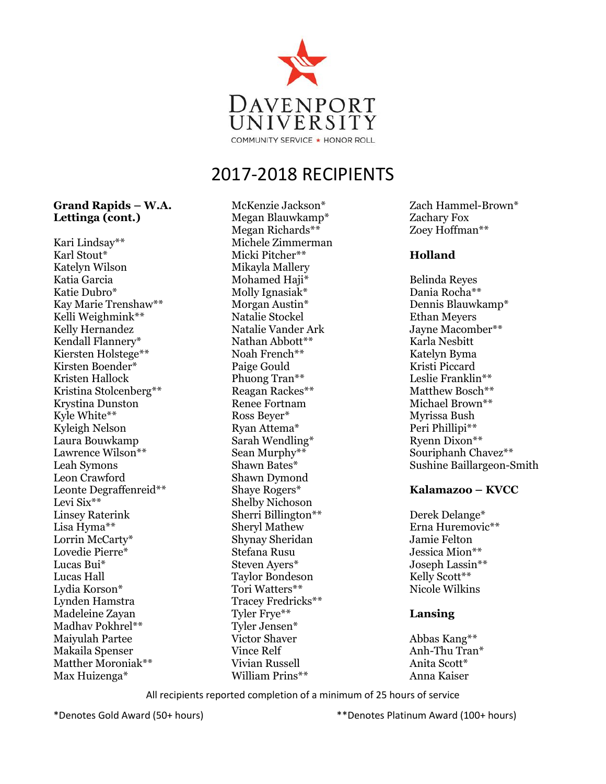

#### **Grand Rapids – W.A. Lettinga (cont.)**

Kari Lindsay\*\* Karl Stout\* Katelyn Wilson Katia Garcia Katie Dubro\* Kay Marie Trenshaw\*\* Kelli Weighmink\*\* Kelly Hernandez Kendall Flannery\* Kiersten Holstege\*\* Kirsten Boender\* Kristen Hallock Kristina Stolcenberg\*\* Krystina Dunston Kyle White\*\* Kyleigh Nelson Laura Bouwkamp Lawrence Wilson\*\* Leah Symons Leon Crawford Leonte Degraffenreid\*\* Levi Six\*\* Linsey Raterink Lisa Hyma\*\* Lorrin McCarty\* Lovedie Pierre\* Lucas Bui\* Lucas Hall Lydia Korson\* Lynden Hamstra Madeleine Zayan Madhav Pokhrel\*\* Maiyulah Partee Makaila Spenser Matther Moroniak\*\* Max Huizenga\*

McKenzie Jackson\* Megan Blauwkamp\* Megan Richards\*\* Michele Zimmerman Micki Pitcher\*\* Mikayla Mallery Mohamed Haji\* Molly Ignasiak\* Morgan Austin\* Natalie Stockel Natalie Vander Ark Nathan Abbott\*\* Noah French\*\* Paige Gould Phuong Tran\*\* Reagan Rackes\*\* Renee Fortnam Ross Beyer\* Ryan Attema\* Sarah Wendling\* Sean Murphy\*\* Shawn Bates\* Shawn Dymond Shaye Rogers\* Shelby Nichoson Sherri Billington\*\* Sheryl Mathew Shynay Sheridan Stefana Rusu Steven Ayers\* Taylor Bondeson Tori Watters\*\* Tracey Fredricks\*\* Tyler Frye\*\* Tyler Jensen\* Victor Shaver Vince Relf Vivian Russell William Prins\*\*

Zach Hammel-Brown\* Zachary Fox Zoey Hoffman\*\*

## **Holland**

Belinda Reyes Dania Rocha\*\* Dennis Blauwkamp\* Ethan Meyers Jayne Macomber\*\* Karla Nesbitt Katelyn Byma Kristi Piccard Leslie Franklin\*\* Matthew Bosch\*\* Michael Brown\*\* Myrissa Bush Peri Phillipi\*\* Ryenn Dixon\*\* Souriphanh Chavez\*\* Sushine Baillargeon-Smith

## **Kalamazoo – KVCC**

Derek Delange\* Erna Huremovic\*\* Jamie Felton Jessica Mion\*\* Joseph Lassin\*\* Kelly Scott\*\* Nicole Wilkins

## **Lansing**

Abbas Kang\*\* Anh-Thu Tran\* Anita Scott\* Anna Kaiser

All recipients reported completion of a minimum of 25 hours of service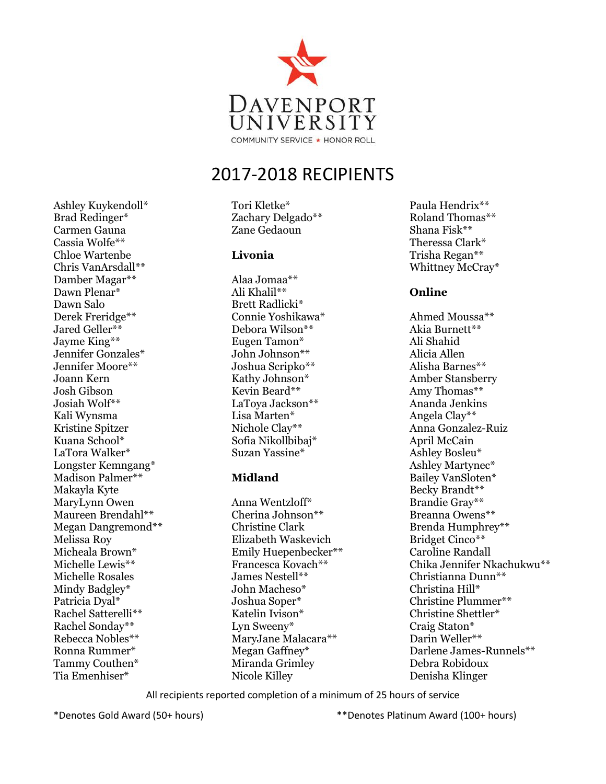

Tori Kletke\* Zachary Delgado\*\* Zane Gedaoun

#### **Livonia**

Alaa Jomaa\*\* Ali Khalil\*\* Brett Radlicki\* Connie Yoshikawa\* Debora Wilson\*\* Eugen Tamon\* John Johnson\*\* Joshua Scripko\*\* Kathy Johnson\* Kevin Beard\*\* LaToya Jackson\*\* Lisa Marten\* Nichole Clay\*\* Sofia Nikollbibaj\* Suzan Yassine\*

## **Midland**

Anna Wentzloff\* Cherina Johnson\*\* Christine Clark Elizabeth Waskevich Emily Huepenbecker\*\* Francesca Kovach\*\* James Nestell\*\* John Macheso\* Joshua Soper\* Katelin Ivison\* Lyn Sweeny\* MaryJane Malacara\*\* Megan Gaffney\* Miranda Grimley Nicole Killey

Paula Hendrix\*\* Roland Thomas\*\* Shana Fisk\*\* Theressa Clark\* Trisha Regan\*\* Whittney McCray\*

## **Online**

Ahmed Moussa\*\* Akia Burnett\*\* Ali Shahid Alicia Allen Alisha Barnes\*\* Amber Stansberry Amy Thomas\*\* Ananda Jenkins Angela Clay\*\* Anna Gonzalez-Ruiz April McCain Ashley Bosleu\* Ashley Martynec\* Bailey VanSloten\* Becky Brandt\*\* Brandie Gray\*\* Breanna Owens\*\* Brenda Humphrey\*\* Bridget Cinco\*\* Caroline Randall Chika Jennifer Nkachukwu\*\* Christianna Dunn\*\* Christina Hill\* Christine Plummer\*\* Christine Shettler\* Craig Staton\* Darin Weller\*\* Darlene James-Runnels\*\* Debra Robidoux Denisha Klinger

All recipients reported completion of a minimum of 25 hours of service

Ashley Kuykendoll\* Brad Redinger\* Carmen Gauna Cassia Wolfe\*\* Chloe Wartenbe Chris VanArsdall\*\* Damber Magar\*\* Dawn Plenar\* Dawn Salo

Derek Freridge\*\* Jared Geller\*\* Jayme King\*\* Jennifer Gonzales\* Jennifer Moore\*\* Joann Kern Josh Gibson Josiah Wolf\*\* Kali Wynsma Kristine Spitzer Kuana School\* LaTora Walker\* Longster Kemngang\* Madison Palmer\*\* Makayla Kyte MaryLynn Owen Maureen Brendahl\*\* Megan Dangremond\*\*

Melissa Roy Micheala Brown\* Michelle Lewis\*\* Michelle Rosales Mindy Badgley\* Patricia Dyal\* Rachel Satterelli\*\* Rachel Sonday\*\* Rebecca Nobles\*\* Ronna Rummer\* Tammy Couthen\* Tia Emenhiser\*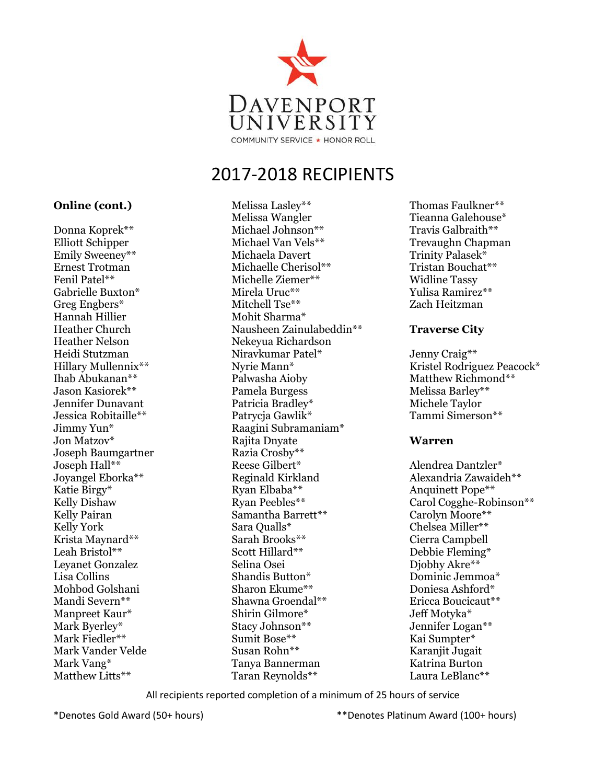

#### **Online (cont.)**

Donna Koprek\*\* Elliott Schipper Emily Sweeney\*\* Ernest Trotman Fenil Patel\*\* Gabrielle Buxton\* Greg Engbers\* Hannah Hillier Heather Church Heather Nelson Heidi Stutzman Hillary Mullennix\*\* Ihab Abukanan\*\* Jason Kasiorek\*\* Jennifer Dunavant Jessica Robitaille\*\* Jimmy Yun\* Jon Matzov\* Joseph Baumgartner Joseph Hall\*\* Joyangel Eborka\*\* Katie Birgy\* Kelly Dishaw Kelly Pairan Kelly York Krista Maynard\*\* Leah Bristol\*\* Leyanet Gonzalez Lisa Collins Mohbod Golshani Mandi Severn\*\* Manpreet Kaur\* Mark Byerley\* Mark Fiedler\*\* Mark Vander Velde Mark Vang\* Matthew Litts\*\*

Melissa Lasley\*\* Melissa Wangler Michael Johnson\*\* Michael Van Vels\*\* Michaela Davert Michaelle Cherisol\*\* Michelle Ziemer\*\* Mirela Uruc\*\* Mitchell Tse\*\* Mohit Sharma\* Nausheen Zainulabeddin\*\* Nekeyua Richardson Niravkumar Patel\* Nyrie Mann\* Palwasha Aioby Pamela Burgess Patricia Bradley\* Patrycja Gawlik\* Raagini Subramaniam\* Rajita Dnyate Razia Crosby\*\* Reese Gilbert\* Reginald Kirkland Ryan Elbaba\*\* Ryan Peebles\*\* Samantha Barrett\*\* Sara Qualls\* Sarah Brooks\*\* Scott Hillard\*\* Selina Osei Shandis Button\* Sharon Ekume\*\* Shawna Groendal\*\* Shirin Gilmore\* Stacy Johnson\*\* Sumit Bose\*\* Susan Rohn\*\* Tanya Bannerman Taran Reynolds\*\*

Thomas Faulkner\*\* Tieanna Galehouse\* Travis Galbraith\*\* Trevaughn Chapman Trinity Palasek\* Tristan Bouchat\*\* Widline Tassy Yulisa Ramirez\*\* Zach Heitzman

#### **Traverse City**

Jenny Craig\*\* Kristel Rodriguez Peacock\* Matthew Richmond\*\* Melissa Barley\*\* Michele Taylor Tammi Simerson\*\*

#### **Warren**

Alendrea Dantzler\* Alexandria Zawaideh\*\* Anquinett Pope\*\* Carol Cogghe-Robinson\*\* Carolyn Moore\*\* Chelsea Miller\*\* Cierra Campbell Debbie Fleming\* Djobhy Akre\*\* Dominic Jemmoa\* Doniesa Ashford\* Ericca Boucicaut\*\* Jeff Motyka\* Jennifer Logan\*\* Kai Sumpter\* Karanjit Jugait Katrina Burton Laura LeBlanc\*\*

All recipients reported completion of a minimum of 25 hours of service